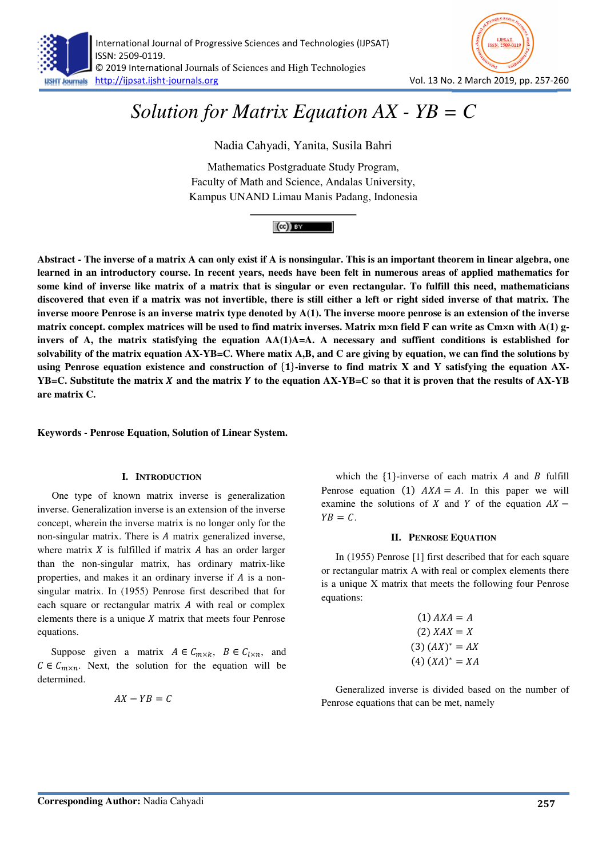

# *Solution for Matrix Equation AX - YB = C*

Nadia Cahyadi, Yanita, Susila Bahri

Mathematics Postgraduate Study Program, Faculty of Math and Science, Andalas University, Kampus UNAND Limau Manis Padang, Indonesia



**Abstract - The inverse of a matrix A can only exist if A is nonsingular. This is an important theorem in linear algebra, one learned in an introductory course. In recent years, needs have been felt in numerous areas of applied mathematics for some kind of inverse like matrix of a matrix that is singular or even rectangular. To fulfill this need, mathematicians discovered that even if a matrix was not invertible, there is still either a left or right sided inverse of that matrix. The inverse moore Penrose is an inverse matrix type denoted by A(1). The inverse moore penrose is an extension of the inverse matrix concept. complex matrices will be used to find matrix inverses. Matrix m×n field F can write as Cm×n with A(1) ginvers of A, the matrix statisfying the equation AA(1)A=A. A necessary and suffient conditions is established for solvability of the matrix equation AX-YB=C. Where matix A,B, and C are giving by equation, we can find the solutions by**  using Penrose equation existence and construction of {1}-inverse to find matrix X and Y satisfying the equation AX-**YB=C. Substitute the matrix and the matrix to the equation AX-YB=C so that it is proven that the results of AX-YB are matrix C.** 

**Keywords - Penrose Equation, Solution of Linear System.**

## **I. INTRODUCTION**

One type of known matrix inverse is generalization inverse. Generalization inverse is an extension of the inverse concept, wherein the inverse matrix is no longer only for the non-singular matrix. There is  $A$  matrix generalized inverse, where matrix  $X$  is fulfilled if matrix  $A$  has an order larger than the non-singular matrix, has ordinary matrix-like properties, and makes it an ordinary inverse if  $A$  is a nonsingular matrix. In (1955) Penrose first described that for each square or rectangular matrix  $A$  with real or complex elements there is a unique  $X$  matrix that meets four Penrose equations.

Suppose given a matrix  $A \in C_{m \times k}$ ,  $B \in C_{l \times n}$ , and  $C \in C_{m \times n}$ . Next, the solution for the equation will be determined.

$$
AX - YB = C
$$

which the  $\{1\}$ -inverse of each matrix A and B fulfill Penrose equation (1)  $AXA = A$ . In this paper we will examine the solutions of X and Y of the equation  $AX YB = C$ .

#### **II. PENROSE EQUATION**

In (1955) Penrose [1] first described that for each square or rectangular matrix A with real or complex elements there is a unique X matrix that meets the following four Penrose equations:

$$
(1) AXA = A
$$
  

$$
(2) XAX = X
$$
  

$$
(3) (AX)^* = AX
$$
  

$$
(4) (XA)^* = XA
$$

Generalized inverse is divided based on the number of Penrose equations that can be met, namely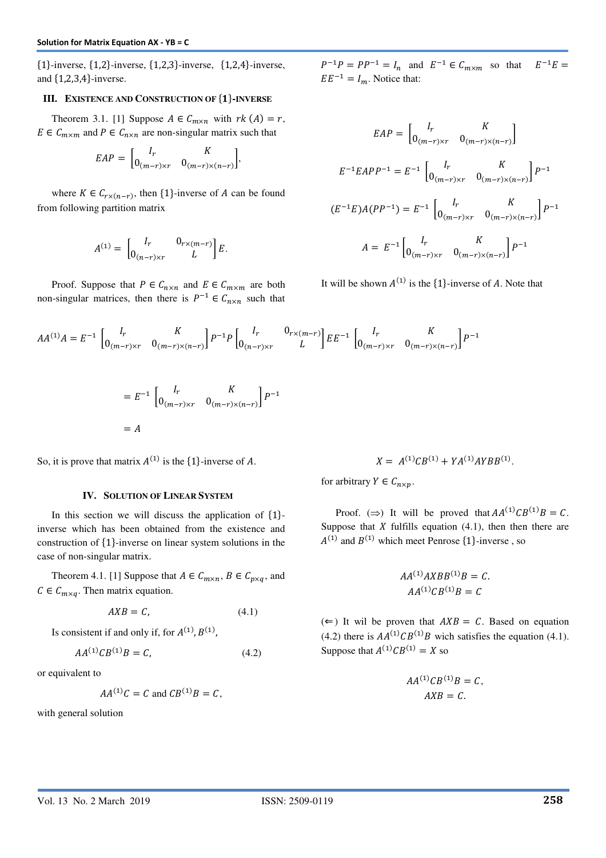${1}$ -inverse,  ${1,2}$ -inverse,  ${1,2,3}$ -inverse,  ${1,2,4}$ -inverse, and  $\{1,2,3,4\}$ -inverse.

## **III. EXISTENCE AND CONSTRUCTION OF {1}-INVERSE**

Theorem 3.1. [1] Suppose  $A \in C_{m \times n}$  with  $rk(A) = r$ ,  $E \in C_{m \times m}$  and  $P \in C_{n \times n}$  are non-singular matrix such that

$$
EAP = \begin{bmatrix} I_r & K \\ 0_{(m-r)\times r} & 0_{(m-r)\times (n-r)} \end{bmatrix},
$$

where  $K \in C_{r \times (n-r)}$ , then {1}-inverse of A can be found from following partition matrix

$$
A^{(1)} = \begin{bmatrix} I_r & 0_{r \times (m-r)} \\ 0_{(n-r) \times r} & L \end{bmatrix} E.
$$

Proof. Suppose that  $P \in C_{n \times n}$  and  $E \in C_{m \times m}$  are both non-singular matrices, then there is  $P^{-1} \in C_{n \times n}$  such that  $P^{-1}P = PP^{-1} = I_n$  and  $E^{-1} \in C_{m \times m}$  so that E  $E^{-1}E =$  $EE^{-1} = I_m$ . Notice that:

$$
EAP = \begin{bmatrix} I_r & K \\ 0_{(m-r)\times r} & 0_{(m-r)\times (n-r)} \end{bmatrix}
$$
  
\n
$$
E^{-1}EAPP^{-1} = E^{-1} \begin{bmatrix} I_r & K \\ 0_{(m-r)\times r} & 0_{(m-r)\times (n-r)} \end{bmatrix} P^{-1}
$$
  
\n
$$
(E^{-1}E)A(PP^{-1}) = E^{-1} \begin{bmatrix} I_r & K \\ 0_{(m-r)\times r} & 0_{(m-r)\times (n-r)} \end{bmatrix} P^{-1}
$$
  
\n
$$
A = E^{-1} \begin{bmatrix} I_r & K \\ 0_{(m-r)\times r} & 0_{(m-r)\times (n-r)} \end{bmatrix} P^{-1}
$$

It will be shown  $A^{(1)}$  is the  $\{1\}$ -inverse of A. Note that

$$
AA^{(1)}A = E^{-1} \begin{bmatrix} I_r & K \\ 0_{(m-r) \times r} & 0_{(m-r) \times (n-r)} \end{bmatrix} P^{-1} P \begin{bmatrix} I_r & 0_{r \times (m-r)} \\ 0_{(n-r) \times r} & L \end{bmatrix} E E^{-1} \begin{bmatrix} I_r & K \\ 0_{(m-r) \times r} & 0_{(m-r) \times (n-r)} \end{bmatrix} P^{-1}
$$

$$
= E^{-1} \begin{bmatrix} I_r & K \\ 0_{(m-r) \times r} & 0_{(m-r) \times (n-r)} \end{bmatrix} P^{-1}
$$
  
= A

So, it is prove that matrix  $A^{(1)}$  is the  $\{1\}$ -inverse of A.

#### **IV. SOLUTION OF LINEAR SYSTEM**

In this section we will discuss the application of  $\{1\}$ inverse which has been obtained from the existence and construction of  $\{1\}$ -inverse on linear system solutions in the case of non-singular matrix.

Theorem 4.1. [1] Suppose that  $A \in C_{m \times n}$ ,  $B \in C_{p \times q}$ , and  $C \in C_{m \times q}$ . Then matrix equation.

$$
AXB = C,\t(4.1)
$$

Is consistent if and only if, for  $A^{(1)}$ ,  $B^{(1)}$ ,

$$
AA^{(1)}CB^{(1)}B = C,\t\t(4.2)
$$

or equivalent to

$$
AA^{(1)}C = C \text{ and } CB^{(1)}B = C,
$$

with general solution

$$
X = A^{(1)}CB^{(1)} + YA^{(1)}AYBB^{(1)}.
$$

for arbitrary  $Y \in C_{n \times n}$ .

Proof. ( $\Rightarrow$ ) It will be proved that  $AA^{(1)}CB^{(1)}B = C$ . Suppose that X fulfills equation  $(4.1)$ , then then there are  $A^{(1)}$  and  $B^{(1)}$  which meet Penrose {1}-inverse, so

$$
AA^{(1)}AXBB^{(1)}B = C.
$$
  

$$
AA^{(1)}CB^{(1)}B = C
$$

 $(\Leftarrow)$  It wil be proven that  $AXB = C$ . Based on equation (4.2) there is  $AA^{(1)}CB^{(1)}B$  wich satisfies the equation (4.1). Suppose that  $A^{(1)}CB^{(1)} = X$  so

$$
AA^{(1)}CB^{(1)}B = C,
$$
  

$$
AXB = C.
$$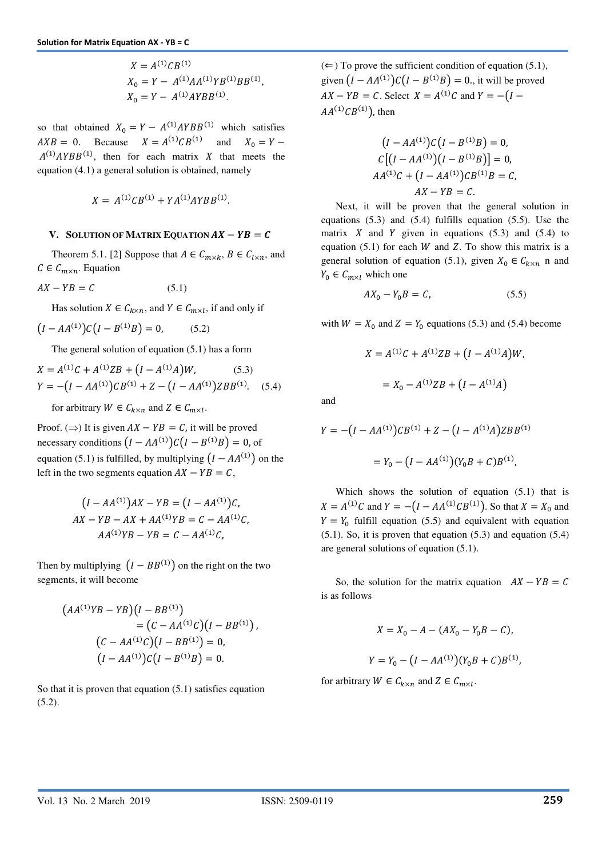$$
X = A^{(1)}CB^{(1)}
$$
  
\n
$$
X_0 = Y - A^{(1)}AA^{(1)}YB^{(1)}BB^{(1)},
$$
  
\n
$$
X_0 = Y - A^{(1)}AYBB^{(1)}.
$$

so that obtained  $X_0 = Y - A^{(1)}AYBB^{(1)}$  which satisfies  $AXB = 0$ . Because  $X = A^{(1)}CB^{(1)}$ and  $X_0 = Y A^{(1)}AYBB^{(1)}$ , then for each matrix X that meets the equation (4.1) a general solution is obtained, namely

$$
X = A^{(1)}CB^{(1)} + YA^{(1)}AYBB^{(1)}.
$$

### **V. SOLUTION OF MATRIX EQUATION**  $AX - YB = C$

Theorem 5.1. [2] Suppose that  $A \in C_{m \times k}$ ,  $B \in C_{l \times n}$ , and  $C \in C_{m \times n}$ . Equation

$$
AX - YB = C \tag{5.1}
$$

Has solution  $X \in C_{k \times n}$ , and  $Y \in C_{m \times l}$ , if and only if

$$
(I - AA^{(1)})C(I - B^{(1)}B) = 0, \t(5.2)
$$

The general solution of equation (5.1) has a form

$$
X = A^{(1)}C + A^{(1)}ZB + (I - A^{(1)}A)W, \qquad (5.3)
$$
  
 
$$
Y = -(I - AA^{(1)})CB^{(1)} + Z - (I - AA^{(1)})ZBB^{(1)}.
$$
 (5.4)

for arbitrary  $W \in C_{k \times n}$  and  $Z \in C_{m \times l}$ .

Proof. ( $\Rightarrow$ ) It is given  $AX - YB = C$ , it will be proved necessary conditions  $(I - AA^{(1)})C(I - B^{(1)}B) = 0$ , of equation (5.1) is fulfilled, by multiplying  $(I - AA^{(1)})$  on the left in the two segments equation  $AX - YB = C$ ,

$$
(I - AA^{(1)})AX - YB = (I - AA^{(1)})C,
$$
  
AX - YB - AX + AA<sup>(1)</sup>YB = C - AA<sup>(1)</sup>C,  
AA<sup>(1)</sup>YB - YB = C - AA<sup>(1)</sup>C,

Then by multiplying  $(I - BB^{(1)})$  on the right on the two segments, it will become

$$
(AA^{(1)}YB - YB)(I - BB^{(1)})
$$
  
=  $(C - AA^{(1)}C)(I - BB^{(1)})$ ,  

$$
(C - AA^{(1)}C)(I - BB^{(1)}) = 0,
$$
  

$$
(I - AA^{(1)})C(I - B^{(1)}B) = 0.
$$

So that it is proven that equation (5.1) satisfies equation  $(5.2).$ 

 $(\Leftarrow)$  To prove the sufficient condition of equation (5.1), given  $(I - AA^{(1)})C(I - B^{(1)}B) = 0$ ., it will be proved  $AX - YB = C$ . Select  $X = A^{(1)}C$  and  $Y = -(I AA^{(1)}CB^{(1)}$ , then

$$
(I - AA^{(1)})C(I - B^{(1)}B) = 0,
$$
  
\n
$$
C[(I - AA^{(1)})(I - B^{(1)}B)] = 0,
$$
  
\n
$$
AA^{(1)}C + (I - AA^{(1)})CB^{(1)}B = C,
$$
  
\n
$$
AX - YB = C.
$$

Next, it will be proven that the general solution in equations (5.3) and (5.4) fulfills equation (5.5). Use the matrix  $X$  and  $Y$  given in equations (5.3) and (5.4) to equation  $(5.1)$  for each W and Z. To show this matrix is a general solution of equation (5.1), given  $X_0 \in C_{k \times n}$  n and  $Y_0 \in C_{m \times l}$  which one

$$
AX_0 - Y_0B = C, \t(5.5)
$$

with  $W = X_0$  and  $Z = Y_0$  equations (5.3) and (5.4) become

$$
X = A^{(1)}C + A^{(1)}ZB + (I - A^{(1)}A)W,
$$
  
=  $X_0 - A^{(1)}ZB + (I - A^{(1)}A)$ 

and

$$
Y = -(I - AA^{(1)})CB^{(1)} + Z - (I - A^{(1)}A)ZBB^{(1)}
$$

$$
= Y_0 - (I - AA^{(1)})(Y_0B + C)B^{(1)},
$$

Which shows the solution of equation (5.1) that is  $X = A^{(1)}C$  and  $Y = -(I - AA^{(1)}CB^{(1)})$ . So that  $X = X_0$  and  $Y = Y_0$  fulfill equation (5.5) and equivalent with equation  $(5.1)$ . So, it is proven that equation  $(5.3)$  and equation  $(5.4)$ are general solutions of equation (5.1).

So, the solution for the matrix equation  $AX - YB = C$ is as follows

$$
X = X_0 - A - (AX_0 - Y_0B - C),
$$
  
\n
$$
Y = Y_0 - (I - AA^{(1)})(Y_0B + C)B^{(1)},
$$

for arbitrary  $W \in C_{k \times n}$  and  $Z \in C_{m \times l}$ .